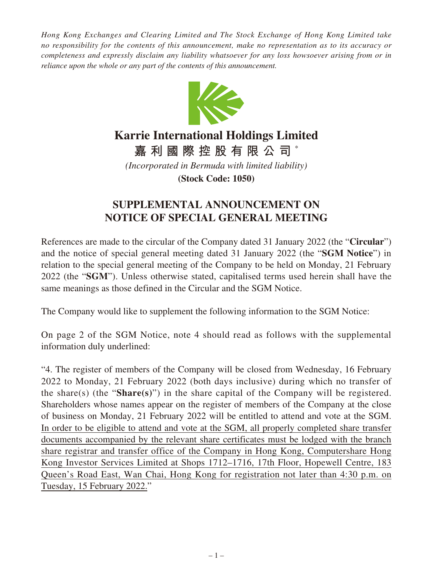*Hong Kong Exchanges and Clearing Limited and The Stock Exchange of Hong Kong Limited take no responsibility for the contents of this announcement, make no representation as to its accuracy or completeness and expressly disclaim any liability whatsoever for any loss howsoever arising from or in reliance upon the whole or any part of the contents of this announcement.*



## **Karrie International Holdings Limited**

**嘉利國際控股有限公司** \*

*(Incorporated in Bermuda with limited liability)*

**(Stock Code: 1050)**

## **SUPPLEMENTAL ANNOUNCEMENT ON NOTICE OF SPECIAL GENERAL MEETING**

References are made to the circular of the Company dated 31 January 2022 (the "**Circular**") and the notice of special general meeting dated 31 January 2022 (the "**SGM Notice**") in relation to the special general meeting of the Company to be held on Monday, 21 February 2022 (the "**SGM**"). Unless otherwise stated, capitalised terms used herein shall have the same meanings as those defined in the Circular and the SGM Notice.

The Company would like to supplement the following information to the SGM Notice:

On page 2 of the SGM Notice, note 4 should read as follows with the supplemental information duly underlined:

"4. The register of members of the Company will be closed from Wednesday, 16 February 2022 to Monday, 21 February 2022 (both days inclusive) during which no transfer of the share(s) (the "**Share(s)**") in the share capital of the Company will be registered. Shareholders whose names appear on the register of members of the Company at the close of business on Monday, 21 February 2022 will be entitled to attend and vote at the SGM. In order to be eligible to attend and vote at the SGM, all properly completed share transfer documents accompanied by the relevant share certificates must be lodged with the branch share registrar and transfer office of the Company in Hong Kong, Computershare Hong Kong Investor Services Limited at Shops 1712–1716, 17th Floor, Hopewell Centre, 183 Queen's Road East, Wan Chai, Hong Kong for registration not later than 4:30 p.m. on Tuesday, 15 February 2022."